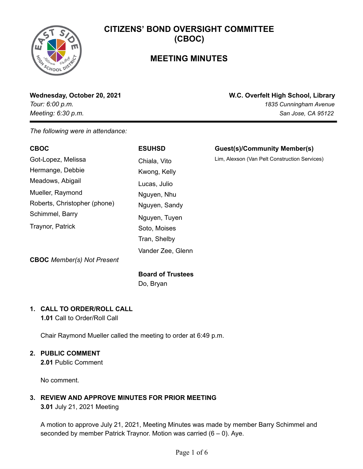### **MEETING MINUTES**

**Wednesday, October 20, 2021 W.C. Overfelt High School, Library** *Tour: 6:00 p.m. 1835 Cunningham Avenue Meeting: 6:30 p.m. San Jose, CA 95122*

*The following were in attendance:*

| <b>CBOC</b>                  | <b>ESUHSD</b>     | <b>Guest(s)/Community Member(s)</b>           |
|------------------------------|-------------------|-----------------------------------------------|
| Got-Lopez, Melissa           | Chiala, Vito      | Lim, Alexson (Van Pelt Construction Services) |
| Hermange, Debbie             | Kwong, Kelly      |                                               |
| Meadows, Abigail             | Lucas, Julio      |                                               |
| Mueller, Raymond             | Nguyen, Nhu       |                                               |
| Roberts, Christopher (phone) | Nguyen, Sandy     |                                               |
| Schimmel, Barry              | Nguyen, Tuyen     |                                               |
| Traynor, Patrick             | Soto, Moises      |                                               |
|                              | Tran, Shelby      |                                               |
|                              | Vander Zee, Glenn |                                               |
|                              |                   |                                               |

**CBOC** *Member(s) Not Present*

### **Board of Trustees**

Do, Bryan

### **1. CALL TO ORDER/ROLL CALL**

**1.01** Call to Order/Roll Call

Chair Raymond Mueller called the meeting to order at 6:49 p.m.

### **2. PUBLIC COMMENT**

**2.01** Public Comment

No comment.

### **3. REVIEW AND APPROVE MINUTES FOR PRIOR MEETING**

**3.01** July 21, 2021 Meeting

A motion to approve July 21, 2021, Meeting Minutes was made by member Barry Schimmel and seconded by member Patrick Traynor. Motion was carried  $(6 - 0)$ . Aye.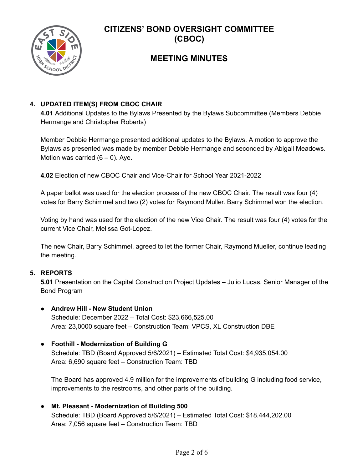

### **MEETING MINUTES**

#### **4. UPDATED ITEM(S) FROM CBOC CHAIR**

**4.01** Additional Updates to the Bylaws Presented by the Bylaws Subcommittee (Members Debbie Hermange and Christopher Roberts)

Member Debbie Hermange presented additional updates to the Bylaws. A motion to approve the Bylaws as presented was made by member Debbie Hermange and seconded by Abigail Meadows. Motion was carried  $(6 - 0)$ . Aye.

**4.02** Election of new CBOC Chair and Vice-Chair for School Year 2021-2022

A paper ballot was used for the election process of the new CBOC Chair. The result was four (4) votes for Barry Schimmel and two (2) votes for Raymond Muller. Barry Schimmel won the election.

Voting by hand was used for the election of the new Vice Chair. The result was four (4) votes for the current Vice Chair, Melissa Got-Lopez.

The new Chair, Barry Schimmel, agreed to let the former Chair, Raymond Mueller, continue leading the meeting.

#### **5. REPORTS**

**5.01** Presentation on the Capital Construction Project Updates – Julio Lucas, Senior Manager of the Bond Program

- **● Andrew Hill - New Student Union** Schedule: December 2022 – Total Cost: \$23,666,525.00 Area: 23,0000 square feet – Construction Team: VPCS, XL Construction DBE
- **● Foothill - Modernization of Building G** Schedule: TBD (Board Approved 5/6/2021) – Estimated Total Cost: \$4,935,054.00 Area: 6,690 square feet – Construction Team: TBD

The Board has approved 4.9 million for the improvements of building G including food service, improvements to the restrooms, and other parts of the building.

**● Mt. Pleasant - Modernization of Building 500** Schedule: TBD (Board Approved 5/6/2021) – Estimated Total Cost: \$18,444,202.00 Area: 7,056 square feet – Construction Team: TBD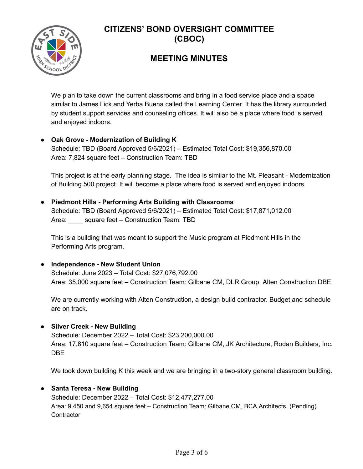

### **MEETING MINUTES**

We plan to take down the current classrooms and bring in a food service place and a space similar to James Lick and Yerba Buena called the Learning Center. It has the library surrounded by student support services and counseling offices. It will also be a place where food is served and enjoyed indoors.

### **● Oak Grove - Modernization of Building K**

Schedule: TBD (Board Approved 5/6/2021) – Estimated Total Cost: \$19,356,870.00 Area: 7,824 square feet – Construction Team: TBD

This project is at the early planning stage. The idea is similar to the Mt. Pleasant - Modernization of Building 500 project. It will become a place where food is served and enjoyed indoors.

### **● Piedmont Hills - Performing Arts Building with Classrooms** Schedule: TBD (Board Approved 5/6/2021) – Estimated Total Cost: \$17,871,012.00 Area: \_\_\_\_ square feet – Construction Team: TBD

This is a building that was meant to support the Music program at Piedmont Hills in the Performing Arts program.

#### **● Independence - New Student Union**

Schedule: June 2023 – Total Cost: \$27,076,792.00 Area: 35,000 square feet – Construction Team: Gilbane CM, DLR Group, Alten Construction DBE

We are currently working with Alten Construction, a design build contractor. Budget and schedule are on track.

#### **● Silver Creek - New Building**

Schedule: December 2022 – Total Cost: \$23,200,000.00 Area: 17,810 square feet – Construction Team: Gilbane CM, JK Architecture, Rodan Builders, Inc. DBE

We took down building K this week and we are bringing in a two-story general classroom building.

### **● Santa Teresa - New Building**

Schedule: December 2022 – Total Cost: \$12,477,277.00 Area: 9,450 and 9,654 square feet – Construction Team: Gilbane CM, BCA Architects, (Pending) **Contractor**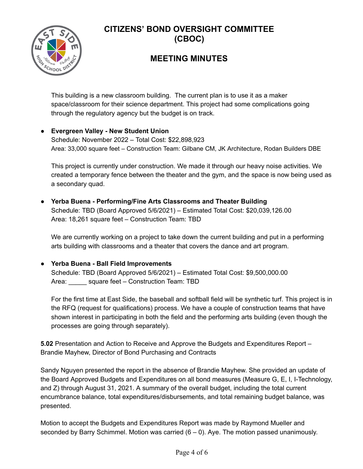

### **MEETING MINUTES**

This building is a new classroom building. The current plan is to use it as a maker space/classroom for their science department. This project had some complications going through the regulatory agency but the budget is on track.

#### **● Evergreen Valley - New Student Union**

Schedule: November 2022 – Total Cost: \$22,898,923 Area: 33,000 square feet – Construction Team: Gilbane CM, JK Architecture, Rodan Builders DBE

This project is currently under construction. We made it through our heavy noise activities. We created a temporary fence between the theater and the gym, and the space is now being used as a secondary quad.

#### **● Yerba Buena - Performing/Fine Arts Classrooms and Theater Building** Schedule: TBD (Board Approved 5/6/2021) – Estimated Total Cost: \$20,039,126.00 Area: 18,261 square feet – Construction Team: TBD

We are currently working on a project to take down the current building and put in a performing arts building with classrooms and a theater that covers the dance and art program.

#### **● Yerba Buena - Ball Field Improvements**

Schedule: TBD (Board Approved 5/6/2021) – Estimated Total Cost: \$9,500,000.00 Area: \_\_\_\_\_ square feet – Construction Team: TBD

For the first time at East Side, the baseball and softball field will be synthetic turf. This project is in the RFQ (request for qualifications) process. We have a couple of construction teams that have shown interest in participating in both the field and the performing arts building (even though the processes are going through separately).

**5.02** Presentation and Action to Receive and Approve the Budgets and Expenditures Report – Brandie Mayhew, Director of Bond Purchasing and Contracts

Sandy Nguyen presented the report in the absence of Brandie Mayhew. She provided an update of the Board Approved Budgets and Expenditures on all bond measures (Measure G, E, I, I-Technology, and Z) through August 31, 2021. A summary of the overall budget, including the total current encumbrance balance, total expenditures/disbursements, and total remaining budget balance, was presented.

Motion to accept the Budgets and Expenditures Report was made by Raymond Mueller and seconded by Barry Schimmel. Motion was carried  $(6 - 0)$ . Aye. The motion passed unanimously.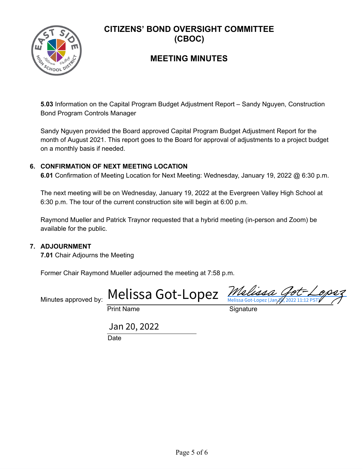

### **MEETING MINUTES**

**5.03** Information on the Capital Program Budget Adjustment Report – Sandy Nguyen, Construction Bond Program Controls Manager

Sandy Nguyen provided the Board approved Capital Program Budget Adjustment Report for the month of August 2021. This report goes to the Board for approval of adjustments to a project budget on a monthly basis if needed.

#### **6. CONFIRMATION OF NEXT MEETING LOCATION**

**6.01** Confirmation of Meeting Location for Next Meeting: Wednesday, January 19, 2022 @ 6:30 p.m.

The next meeting will be on Wednesday, January 19, 2022 at the Evergreen Valley High School at 6:30 p.m. The tour of the current construction site will begin at 6:00 p.m.

Raymond Mueller and Patrick Traynor requested that a hybrid meeting (in-person and Zoom) be available for the public.

#### **7. ADJOURNMENT**

**7.01** Chair Adjourns the Meeting

Former Chair Raymond Mueller adjourned the meeting at 7:58 p.m.

Minutes approved by: [Melissa Got-Lopez](https://salesforceintegration.na1.echosign.com/verifier?tx=CBJCHBCAABAAKxUk9R4Dx4zDLwNxssH28aIekJ20AoRa) *Melissa* Got-Lopez

Print Name Signature

Date Jan 20, 2022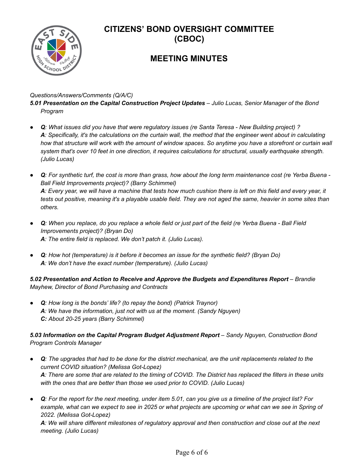

### **MEETING MINUTES**

#### *Questions/Answers/Comments (Q/A/C)*

*5.01 Presentation on the Capital Construction Project Updates – Julio Lucas, Senior Manager of the Bond Program*

- Q: What issues did you have that were regulatory issues (re Santa Teresa New Building project)? A: Specifically, it's the calculations on the curtain wall, the method that the engineer went about in calculating how that structure will work with the amount of window spaces. So anytime you have a storefront or curtain wall system that's over 10 feet in one direction, it requires calculations for structural, usually earthquake strength. *(Julio Lucas)*
- Q: For synthetic turf, the cost is more than grass, how about the long term maintenance cost (re Yerba Buena -*Ball Field Improvements project)? (Barry Schimmel)* A: Every year, we will have a machine that tests how much cushion there is left on this field and every year, it tests out positive, meaning it's a playable usable field. They are not aged the same, heavier in some sites than *others.*
- Q: When you replace, do you replace a whole field or just part of the field (re Yerba Buena Ball Field *Improvements project)? (Bryan Do) A: The entire field is replaced. We don't patch it. (Julio Lucas).*
- Q: How hot (temperature) is it before it becomes an issue for the synthetic field? (Bryan Do) *A: We don't have the exact number (temperature). (Julio Lucas)*

*5.02 Presentation and Action to Receive and Approve the Budgets and Expenditures Report – Brandie Mayhew, Director of Bond Purchasing and Contracts*

*● Q: How long is the bonds' life? (to repay the bond) (Patrick Traynor) A: We have the information, just not with us at the moment. (Sandy Nguyen) C: About 20-25 years (Barry Schimmel)*

#### *5.03 Information on the Capital Program Budget Adjustment Report – Sandy Nguyen, Construction Bond Program Controls Manager*

- Q: The upgrades that had to be done for the district mechanical, are the unit replacements related to the *current COVID situation? (Melissa Got-Lopez)* A: There are some that are related to the timing of COVID. The District has replaced the filters in these units *with the ones that are better than those we used prior to COVID. (Julio Lucas)*
- Q: For the report for the next meeting, under item 5.01, can you give us a timeline of the project list? For example, what can we expect to see in 2025 or what projects are upcoming or what can we see in Spring of *2022. (Melissa Got-Lopez)*

A: We will share different milestones of regulatory approval and then construction and close out at the next *meeting. (Julio Lucas)*